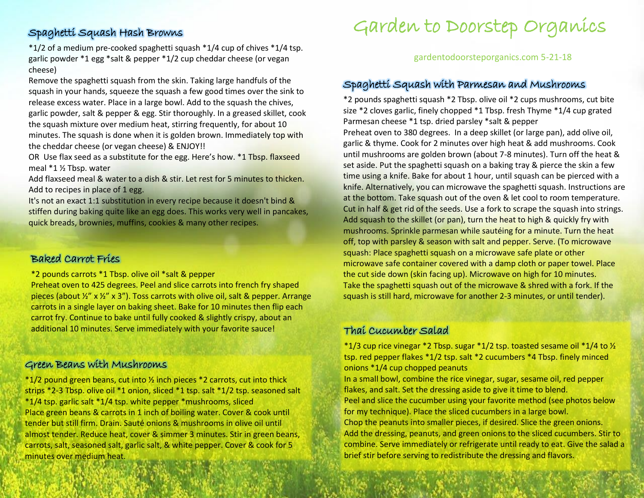# Spaghetti Squash Hash Browns

\*1/2 of a medium pre-cooked spaghetti squash \*1/4 cup of chives \*1/4 tsp. garlic powder \*1 egg \*salt & pepper \*1/2 cup cheddar cheese (or vegan cheese)

Remove the spaghetti squash from the skin. Taking large handfuls of the squash in your hands, squeeze the squash a few good times over the sink to release excess water. Place in a large bowl. Add to the squash the chives, garlic powder, salt & pepper & egg. Stir thoroughly. In a greased skillet, cook the squash mixture over medium heat, stirring frequently, for about 10 minutes. The squash is done when it is golden brown. Immediately top with the cheddar cheese (or vegan cheese) & ENJOY!!

OR Use flax seed as a substitute for the egg. Here's how. \*1 Tbsp. flaxseed meal \*1 ½ Tbsp. water

Add flaxseed meal & water to a dish & stir. Let rest for 5 minutes to thicken. Add to recipes in place of 1 egg.

It's not an exact 1:1 substitution in every recipe because it doesn't bind & stiffen during baking quite like an egg does. This works very well in pancakes, quick breads, brownies, muffins, cookies & many other recipes.

# Baked Carrot Fries

\*2 pounds carrots \*1 Tbsp. olive oil \*salt & pepper

Preheat oven to 425 degrees. Peel and slice carrots into french fry shaped pieces (about  $\frac{1}{2}$ " x  $\frac{1}{2}$ " x 3"). Toss carrots with olive oil, salt & pepper. Arrange carrots in a single layer on baking sheet. Bake for 10 minutes then flip each carrot fry. Continue to bake until fully cooked & slightly crispy, about an additional 10 minutes. Serve immediately with your favorite sauce!

## Green Beans with Mushrooms

\*1/2 pound green beans, cut into ½ inch pieces \*2 carrots, cut into thick strips \*2-3 Tbsp. olive oil \*1 onion, sliced \*1 tsp. salt \*1/2 tsp. seasoned salt \*1/4 tsp. garlic salt \*1/4 tsp. white pepper \*mushrooms, sliced Place green beans & carrots in 1 inch of boiling water. Cover & cook until tender but still firm. Drain. Sauté onions & mushrooms in olive oil until almost tender. Reduce heat, cover & simmer 3 minutes. Stir in green beans, carrots, salt, seasoned salt, garlic salt, & white pepper. Cover & cook for 5 minutes over medium heat.

# Garden to Doorstep Organics

#### gardentodoorsteporganics.com 5-21-18

### Spaghetti Squash with Parmesan and Mushrooms

\*2 pounds spaghetti squash \*2 Tbsp. olive oil \*2 cups mushrooms, cut bite size \*2 cloves garlic, finely chopped \*1 Tbsp. fresh Thyme \*1/4 cup grated Parmesan cheese \*1 tsp. dried parsley \*salt & pepper

Preheat oven to 380 degrees. In a deep skillet (or large pan), add olive oil, garlic & thyme. Cook for 2 minutes over high heat & add mushrooms. Cook until mushrooms are golden brown (about 7-8 minutes). Turn off the heat & set aside. Put the spaghetti squash on a baking tray & pierce the skin a few time using a knife. Bake for about 1 hour, until squash can be pierced with a knife. Alternatively, you can microwave the spaghetti squash. Instructions are at the bottom. Take squash out of the oven & let cool to room temperature. Cut in half & get rid of the seeds. Use a fork to scrape the squash into strings. Add squash to the skillet (or pan), turn the heat to high & quickly fry with mushrooms. Sprinkle parmesan while sautéing for a minute. Turn the heat off, top with parsley & season with salt and pepper. Serve. (To microwave squash: Place spaghetti squash on a microwave safe plate or other microwave safe container covered with a damp cloth or paper towel. Place the cut side down (skin facing up). Microwave on high for 10 minutes. Take the spaghetti squash out of the microwave & shred with a fork. If the squash is still hard, microwave for another 2-3 minutes, or until tender).

# Thai Cucumber Salad

 $*1/3$  cup rice vinegar  $*2$  Tbsp. sugar  $*1/2$  tsp. toasted sesame oil  $*1/4$  to  $\frac{1}{2}$ tsp. red pepper flakes \*1/2 tsp. salt \*2 cucumbers \*4 Tbsp. finely minced onions \*1/4 cup chopped peanuts In a small bowl, combine the rice vinegar, sugar, sesame oil, red pepper flakes, and salt. Set the dressing aside to give it time to blend. Peel and slice the cucumber using your favorite method (see photos below for my technique). Place the sliced cucumbers in a large bowl. Chop the peanuts into smaller pieces, if desired. Slice the green onions. Add the dressing, peanuts, and green onions to the sliced cucumbers. Stir to combine. Serve immediately or refrigerate until ready to eat. Give the salad a brief stir before serving to redistribute the dressing and flavors.